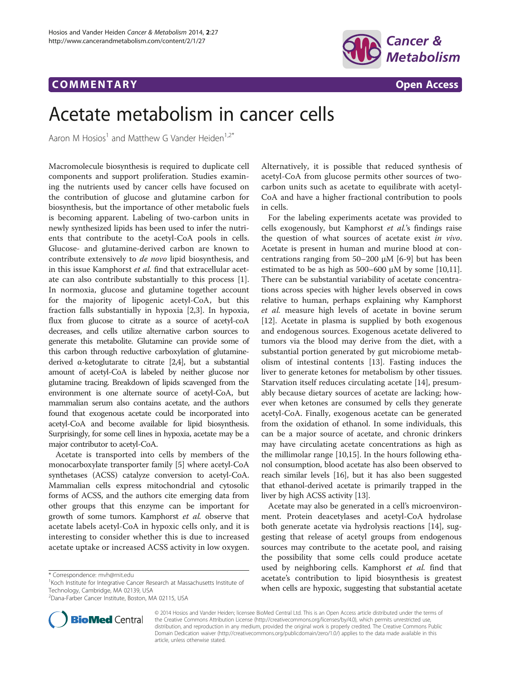## COMM EN TARY Open Access



# Acetate metabolism in cancer cells

Aaron M Hosios<sup>1</sup> and Matthew G Vander Heiden<sup>1,2\*</sup>

Macromolecule biosynthesis is required to duplicate cell components and support proliferation. Studies examining the nutrients used by cancer cells have focused on the contribution of glucose and glutamine carbon for biosynthesis, but the importance of other metabolic fuels is becoming apparent. Labeling of two-carbon units in newly synthesized lipids has been used to infer the nutrients that contribute to the acetyl-CoA pools in cells. Glucose- and glutamine-derived carbon are known to contribute extensively to de novo lipid biosynthesis, and in this issue Kamphorst et al. find that extracellular acetate can also contribute substantially to this process [\[1](#page-1-0)]. In normoxia, glucose and glutamine together account for the majority of lipogenic acetyl-CoA, but this fraction falls substantially in hypoxia [\[2,3](#page-1-0)]. In hypoxia, flux from glucose to citrate as a source of acetyl-coA decreases, and cells utilize alternative carbon sources to generate this metabolite. Glutamine can provide some of this carbon through reductive carboxylation of glutaminederived α-ketoglutarate to citrate [\[2,4](#page-1-0)], but a substantial amount of acetyl-CoA is labeled by neither glucose nor glutamine tracing. Breakdown of lipids scavenged from the environment is one alternate source of acetyl-CoA, but mammalian serum also contains acetate, and the authors found that exogenous acetate could be incorporated into acetyl-CoA and become available for lipid biosynthesis. Surprisingly, for some cell lines in hypoxia, acetate may be a major contributor to acetyl-CoA.

Acetate is transported into cells by members of the monocarboxylate transporter family [\[5](#page-1-0)] where acetyl-CoA synthetases (ACSS) catalyze conversion to acetyl-CoA. Mammalian cells express mitochondrial and cytosolic forms of ACSS, and the authors cite emerging data from other groups that this enzyme can be important for growth of some tumors. Kamphorst et al. observe that acetate labels acetyl-CoA in hypoxic cells only, and it is interesting to consider whether this is due to increased acetate uptake or increased ACSS activity in low oxygen.



For the labeling experiments acetate was provided to cells exogenously, but Kamphorst et al.'s findings raise the question of what sources of acetate exist in vivo. Acetate is present in human and murine blood at concentrations ranging from 50–200 μM [[6-9\]](#page-1-0) but has been estimated to be as high as  $500-600 \mu M$  by some [\[10,11](#page-1-0)]. There can be substantial variability of acetate concentrations across species with higher levels observed in cows relative to human, perhaps explaining why Kamphorst et al. measure high levels of acetate in bovine serum [[12\]](#page-1-0). Acetate in plasma is supplied by both exogenous and endogenous sources. Exogenous acetate delivered to tumors via the blood may derive from the diet, with a substantial portion generated by gut microbiome metabolism of intestinal contents [\[13](#page-1-0)]. Fasting induces the liver to generate ketones for metabolism by other tissues. Starvation itself reduces circulating acetate [\[14](#page-1-0)], presumably because dietary sources of acetate are lacking; however when ketones are consumed by cells they generate acetyl-CoA. Finally, exogenous acetate can be generated from the oxidation of ethanol. In some individuals, this can be a major source of acetate, and chronic drinkers may have circulating acetate concentrations as high as the millimolar range [\[10,15\]](#page-1-0). In the hours following ethanol consumption, blood acetate has also been observed to reach similar levels [[16](#page-1-0)], but it has also been suggested that ethanol-derived acetate is primarily trapped in the liver by high ACSS activity [[13](#page-1-0)].

Acetate may also be generated in a cell's microenvironment. Protein deacetylases and acetyl-CoA hydrolase both generate acetate via hydrolysis reactions [\[14\]](#page-1-0), suggesting that release of acetyl groups from endogenous sources may contribute to the acetate pool, and raising the possibility that some cells could produce acetate used by neighboring cells. Kamphorst et al. find that acetate's contribution to lipid biosynthesis is greatest when cells are hypoxic, suggesting that substantial acetate



© 2014 Hosios and Vander Heiden; licensee BioMed Central Ltd. This is an Open Access article distributed under the terms of the Creative Commons Attribution License [\(http://creativecommons.org/licenses/by/4.0\)](http://creativecommons.org/licenses/by/4.0), which permits unrestricted use, distribution, and reproduction in any medium, provided the original work is properly credited. The Creative Commons Public Domain Dedication waiver [\(http://creativecommons.org/publicdomain/zero/1.0/\)](http://creativecommons.org/publicdomain/zero/1.0/) applies to the data made available in this article, unless otherwise stated.

<sup>\*</sup> Correspondence: [mvh@mit.edu](mailto:mvh@mit.edu) <sup>1</sup>

<sup>&</sup>lt;sup>1</sup> Koch Institute for Integrative Cancer Research at Massachusetts Institute of Technology, Cambridge, MA 02139, USA

<sup>2</sup> Dana-Farber Cancer Institute, Boston, MA 02115, USA